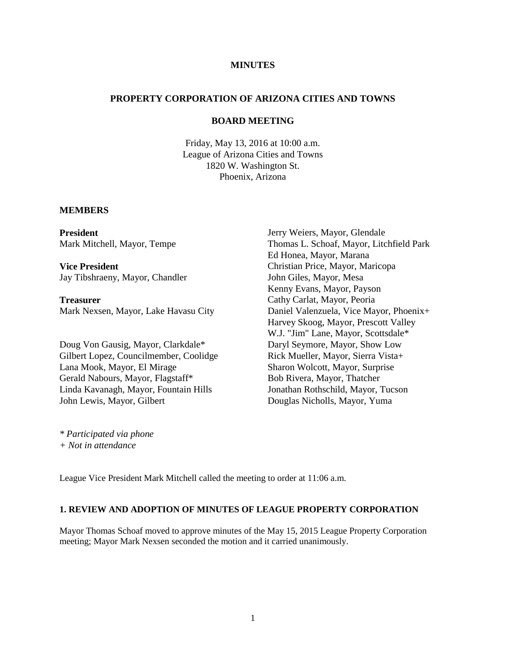# **MINUTES**

## **PROPERTY CORPORATION OF ARIZONA CITIES AND TOWNS**

## **BOARD MEETING**

Friday, May 13, 2016 at 10:00 a.m. League of Arizona Cities and Towns 1820 W. Washington St. Phoenix, Arizona

#### **MEMBERS**

**President** Mark Mitchell, Mayor, Tempe

**Vice President** Jay Tibshraeny, Mayor, Chandler

**Treasurer** Mark Nexsen, Mayor, Lake Havasu City

Doug Von Gausig, Mayor, Clarkdale\* Gilbert Lopez, Councilmember, Coolidge Lana Mook, Mayor, El Mirage Gerald Nabours, Mayor, Flagstaff\* Linda Kavanagh, Mayor, Fountain Hills John Lewis, Mayor, Gilbert

Jerry Weiers, Mayor, Glendale Thomas L. Schoaf, Mayor, Litchfield Park Ed Honea, Mayor, Marana Christian Price, Mayor, Maricopa John Giles, Mayor, Mesa Kenny Evans, Mayor, Payson Cathy Carlat, Mayor, Peoria Daniel Valenzuela, Vice Mayor, Phoenix+ Harvey Skoog, Mayor, Prescott Valley W.J. "Jim" Lane, Mayor, Scottsdale\* Daryl Seymore, Mayor, Show Low Rick Mueller, Mayor, Sierra Vista+ Sharon Wolcott, Mayor, Surprise Bob Rivera, Mayor, Thatcher Jonathan Rothschild, Mayor, Tucson Douglas Nicholls, Mayor, Yuma

*\* Participated via phone + Not in attendance*

League Vice President Mark Mitchell called the meeting to order at 11:06 a.m.

## **1. REVIEW AND ADOPTION OF MINUTES OF LEAGUE PROPERTY CORPORATION**

Mayor Thomas Schoaf moved to approve minutes of the May 15, 2015 League Property Corporation meeting; Mayor Mark Nexsen seconded the motion and it carried unanimously.